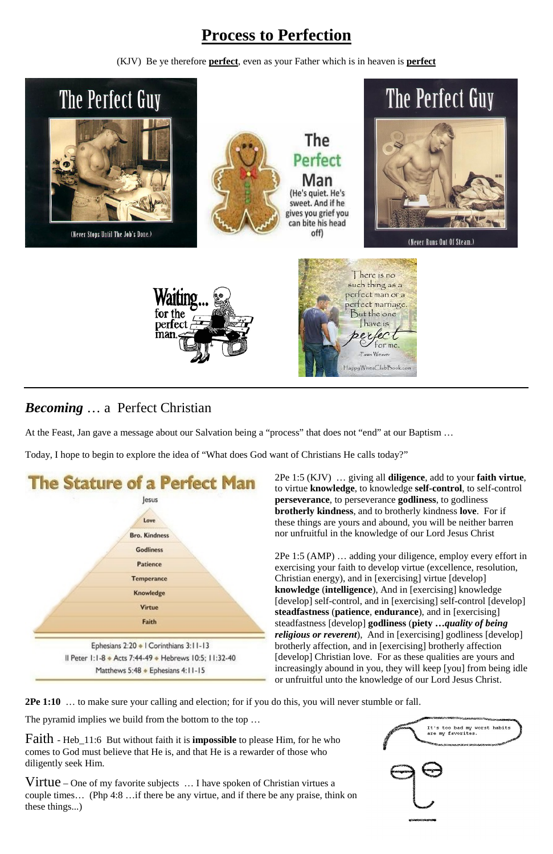### **Process to Perfection**

(KJV) Be ye therefore **perfect**, even as your Father which is in heaven is **perfect**



# *Becoming* … a Perfect Christian

for the

man.

perfect

At the Feast, Jan gave a message about our Salvation being a "process" that does not "end" at our Baptism …

Today, I hope to begin to explore the idea of "What does God want of Christians He calls today?"



2Pe 1:5 (KJV) … giving all **diligence**, add to your **faith virtue**, to virtue **knowledge**, to knowledge **self-control**, to self-control **perseverance**, to perseverance **godliness**, to godliness **brotherly kindness**, and to brotherly kindness **love**. For if these things are yours and abound, you will be neither barren nor unfruitful in the knowledge of our Lord Jesus Christ

Sut the one

have is

Tawn Weaver HappyWivesClubBook.com

for mc.

2Pe 1:5 (AMP) … adding your diligence, employ every effort in exercising your faith to develop virtue (excellence, resolution, Christian energy), and in [exercising] virtue [develop] **knowledge** (**intelligence**), And in [exercising] knowledge [develop] self-control, and in [exercising] self-control [develop] **steadfastness** (**patience**, **endurance**), and in [exercising] steadfastness [develop] **godliness** (**piety …***quality of being religious or reverent*), And in [exercising] godliness [develop] brotherly affection, and in [exercising] brotherly affection [develop] Christian love. For as these qualities are yours and increasingly abound in you, they will keep [you] from being idle or unfruitful unto the knowledge of our Lord Jesus Christ.

Ephesians 2:20 + I Corinthians 3:11-13 Il Peter 1:1-8 + Acts 7:44-49 + Hebrews 10:5; 11:32-40 Matthews 5:48 . Ephesians 4:11-15

**2Pe 1:10** … to make sure your calling and election; for if you do this, you will never stumble or fall.

The pyramid implies we build from the bottom to the top …

Faith - Heb\_11:6 But without faith it is **impossible** to please Him, for he who comes to God must believe that He is, and that He is a rewarder of those who diligently seek Him.

Virtue – One of my favorite subjects … I have spoken of Christian virtues a couple times… (Php 4:8 …if there be any virtue, and if there be any praise, think on these things...)



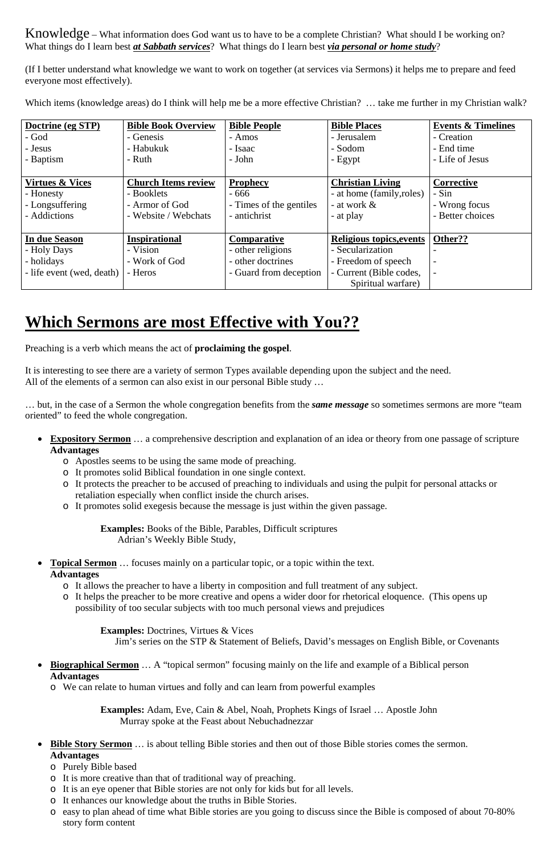Knowledge – What information does God want us to have to be a complete Christian? What should I be working on? What things do I learn best *at Sabbath services*? What things do I learn best *via personal or home study*?

(If I better understand what knowledge we want to work on together (at services via Sermons) it helps me to prepare and feed everyone most effectively).

Which items (knowledge areas) do I think will help me be a more effective Christian? ... take me further in my Christian walk?

| Doctrine (eg STP)          | <b>Bible Book Overview</b> | <b>Bible People</b>     | <b>Bible Places</b>       | <b>Events &amp; Timelines</b> |
|----------------------------|----------------------------|-------------------------|---------------------------|-------------------------------|
| - God                      | - Genesis                  | - Amos                  | - Jerusalem               | - Creation                    |
| - Jesus                    | - Habukuk                  | - Isaac                 | - Sodom                   | - End time                    |
| - Baptism                  | - Ruth                     | - John                  | $-Egypt$                  | - Life of Jesus               |
|                            |                            |                         |                           |                               |
| <b>Virtues &amp; Vices</b> | <b>Church Items review</b> | <b>Prophecy</b>         | <b>Christian Living</b>   | Corrective                    |
| - Honesty                  | - Booklets                 | $-666$                  | - at home (family, roles) | $-Sin$                        |
| - Longsuffering            | - Armor of God             | - Times of the gentiles | - at work $\&$            | - Wrong focus                 |
| - Addictions               | - Website / Webchats       | - antichrist            | - at play                 | - Better choices              |
|                            |                            |                         |                           |                               |
| <b>In due Season</b>       | <b>Inspirational</b>       | Comparative             | Religious topics, events  | Other??                       |
| - Holy Days                | - Vision                   | - other religions       | - Secularization          |                               |
| - holidays                 | - Work of God              | - other doctrines       | - Freedom of speech       |                               |
| - life event (wed, death)  | - Heros                    | - Guard from deception  | - Current (Bible codes,   |                               |
|                            |                            |                         | Spiritual warfare)        |                               |

## **Which Sermons are most Effective with You??**

- **Topical Sermon** ... focuses mainly on a particular topic, or a topic within the text.
	- **Advantages** 
		- o It allows the preacher to have a liberty in composition and full treatment of any subject.
		- o It helps the preacher to be more creative and opens a wider door for rhetorical eloquence. (This opens up possibility of too secular subjects with too much personal views and prejudices
			-

Preaching is a verb which means the act of **proclaiming the gospel**.

It is interesting to see there are a variety of sermon Types available depending upon the subject and the need. All of the elements of a sermon can also exist in our personal Bible study …

… but, in the case of a Sermon the whole congregation benefits from the *same message* so sometimes sermons are more "team oriented" to feed the whole congregation.

- **Expository Sermon** … a comprehensive description and explanation of an idea or theory from one passage of scripture **Advantages** 
	- o Apostles seems to be using the same mode of preaching.
	- o It promotes solid Biblical foundation in one single context.
	- o It protects the preacher to be accused of preaching to individuals and using the pulpit for personal attacks or retaliation especially when conflict inside the church arises.
	- o It promotes solid exegesis because the message is just within the given passage.

**Examples:** Books of the Bible, Parables, Difficult scriptures Adrian's Weekly Bible Study,

**Examples:** Doctrines, Virtues & Vices Jim's series on the STP & Statement of Beliefs, David's messages on English Bible, or Covenants

- **Biographical Sermon** … A "topical sermon" focusing mainly on the life and example of a Biblical person **Advantages** 
	- o We can relate to human virtues and folly and can learn from powerful examples

**Examples:** Adam, Eve, Cain & Abel, Noah, Prophets Kings of Israel … Apostle John Murray spoke at the Feast about Nebuchadnezzar

- **Bible Story Sermon** … is about telling Bible stories and then out of those Bible stories comes the sermon. **Advantages** 
	- o Purely Bible based
	- o It is more creative than that of traditional way of preaching.
	- o It is an eye opener that Bible stories are not only for kids but for all levels.
	- o It enhances our knowledge about the truths in Bible Stories.
	- o easy to plan ahead of time what Bible stories are you going to discuss since the Bible is composed of about 70-80% story form content